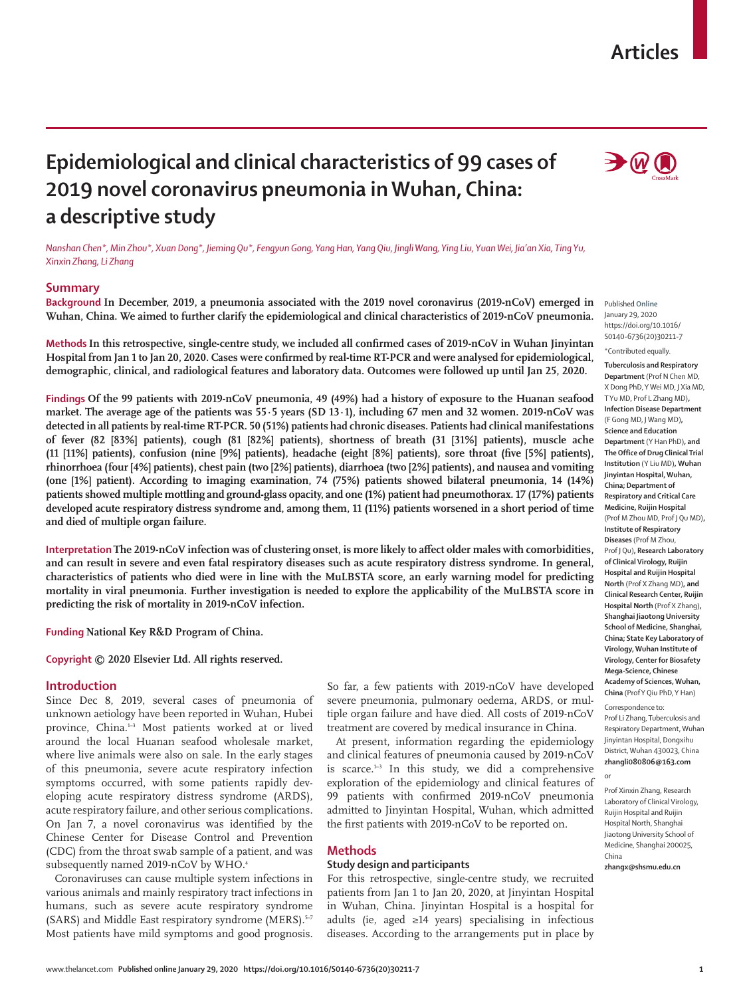## **Articles**



# **Epidemiological and clinical characteristics of 99 cases of 2019 novel coronavirus pneumonia in Wuhan, China: a descriptive study**

*Nanshan Chen\*, Min Zhou\*, Xuan Dong\*, Jieming Qu\*, Fengyun Gong, Yang Han, Yang Qiu, Jingli Wang, Ying Liu, Yuan Wei, Jia'an Xia, Ting Yu, Xinxin Zhang, Li Zhang*

## **Summary**

**Background In December, 2019, a pneumonia associated with the 2019 novel coronavirus (2019-nCoV) emerged in Wuhan, China. We aimed to further clarify the epidemiological and clinical characteristics of 2019-nCoV pneumonia.**

**Methods In this retrospective, single-centre study, we included all confirmed cases of 2019-nCoV in Wuhan Jinyintan Hospital from Jan 1 to Jan 20, 2020. Cases were confirmed by real-time RT-PCR and were analysed for epidemiological, demographic, clinical, and radiological features and laboratory data. Outcomes were followed up until Jan 25, 2020.**

**Findings Of the 99 patients with 2019-nCoV pneumonia, 49 (49%) had a history of exposure to the Huanan seafood market. The average age of the patients was 55·5 years (SD 13·1), including 67 men and 32 women. 2019-nCoV was detected in all patients by real-time RT-PCR. 50 (51%) patients had chronic diseases. Patients had clinical manifestations of fever (82 [83%] patients), cough (81 [82%] patients), shortness of breath (31 [31%] patients), muscle ache (11 [11%] patients), confusion (nine [9%] patients), headache (eight [8%] patients), sore throat (five [5%] patients), rhinorrhoea (four [4%] patients), chest pain (two [2%] patients), diarrhoea (two [2%] patients), and nausea and vomiting (one [1%] patient). According to imaging examination, 74 (75%) patients showed bilateral pneumonia, 14 (14%) patients showed multiple mottling and ground-glass opacity, and one (1%) patient had pneumothorax. 17 (17%) patients developed acute respiratory distress syndrome and, among them, 11 (11%) patients worsened in a short period of time and died of multiple organ failure.**

**Interpretation The 2019-nCoV infection was of clustering onset, is more likely to affect older males with comorbidities, and can result in severe and even fatal respiratory diseases such as acute respiratory distress syndrome. In general, characteristics of patients who died were in line with the MuLBSTA score, an early warning model for predicting mortality in viral pneumonia. Further investigation is needed to explore the applicability of the MuLBSTA score in predicting the risk of mortality in 2019-nCoV infection.**

**Funding National Key R&D Program of China.**

**Copyright © 2020 Elsevier Ltd. All rights reserved.**

## **Introduction**

Since Dec 8, 2019, several cases of pneumonia of unknown aetiology have been reported in Wuhan, Hubei province, China.<sup>1-3</sup> Most patients worked at or lived around the local Huanan seafood wholesale market, where live animals were also on sale. In the early stages of this pneumonia, severe acute respiratory infection symptoms occurred, with some patients rapidly developing acute respiratory distress syndrome (ARDS), acute respiratory failure, and other serious complications. On Jan 7, a novel coronavirus was identified by the Chinese Center for Disease Control and Prevention (CDC) from the throat swab sample of a patient, and was subsequently named 2019-nCoV by WHO.<sup>4</sup>

Coronaviruses can cause multiple system infections in various animals and mainly respiratory tract infections in humans, such as severe acute respiratory syndrome (SARS) and Middle East respiratory syndrome (MERS).<sup>5-7</sup> Most patients have mild symptoms and good prognosis.

So far, a few patients with 2019-nCoV have developed severe pneumonia, pulmonary oedema, ARDS, or multiple organ failure and have died. All costs of 2019-nCoV treatment are covered by medical insurance in China.

At present, information regarding the epidemiology and clinical features of pneumonia caused by 2019-nCoV is scarce. $1-3$  In this study, we did a comprehensive exploration of the epidemiology and clinical features of 99 patients with confirmed 2019-nCoV pneumonia admitted to Jinyintan Hospital, Wuhan, which admitted the first patients with 2019-nCoV to be reported on.

### **Methods**

#### **Study design and participants**

For this retrospective, single-centre study, we recruited patients from Jan 1 to Jan 20, 2020, at Jinyintan Hospital in Wuhan, China. Jinyintan Hospital is a hospital for adults (ie, aged ≥14 years) specialising in infectious diseases. According to the arrangements put in place by

Published **Online** January 29, 2020 https://doi.org/10.1016/ S0140-6736(20)30211-7 \*Contributed equally.

**Tuberculosis and Respiratory Department** (Prof N Chen MD, X Dong PhD, Y Wei MD, J Xia MD, T Yu MD, Prof L Zhang MD)**, Infection Disease Department** (F Gong MD, J Wang MD)**, Science and Education Department** (Y Han PhD)**, and The Office of Drug Clinical Trial Institution** (Y Liu MD)**, Wuhan Jinyintan Hospital, Wuhan, China; Department of Respiratory and Critical Care Medicine, Ruijin Hospital**  (Prof M Zhou MD, Prof J Qu MD)**, Institute of Respiratory Diseases** (Prof M Zhou, Prof J Qu)**, Research Laboratory of Clinical Virology, Ruijin Hospital and Ruijin Hospital North** (Prof X Zhang MD)**, and Clinical Research Center, Ruijin Hospital North** (Prof X Zhang)**, Shanghai Jiaotong University School of Medicine, Shanghai, China; State Key Laboratory of Virology, Wuhan Institute of Virology, Center for Biosafety Mega-Science, Chinese Academy of Sciences, Wuhan, China** (Prof Y Qiu PhD, Y Han)

Correspondence to: Prof Li Zhang, Tuberculosis and Respiratory Department, Wuhan Jinyintan Hospital, Dongxihu District, Wuhan 430023, China **zhangli080806@163.com**

or

**zhangx@shsmu.edu.cn**

Prof Xinxin Zhang, Research Laboratory of Clinical Virology, Ruijin Hospital and Ruijin Hospital North, Shanghai Jiaotong University School of Medicine, Shanghai 200025, China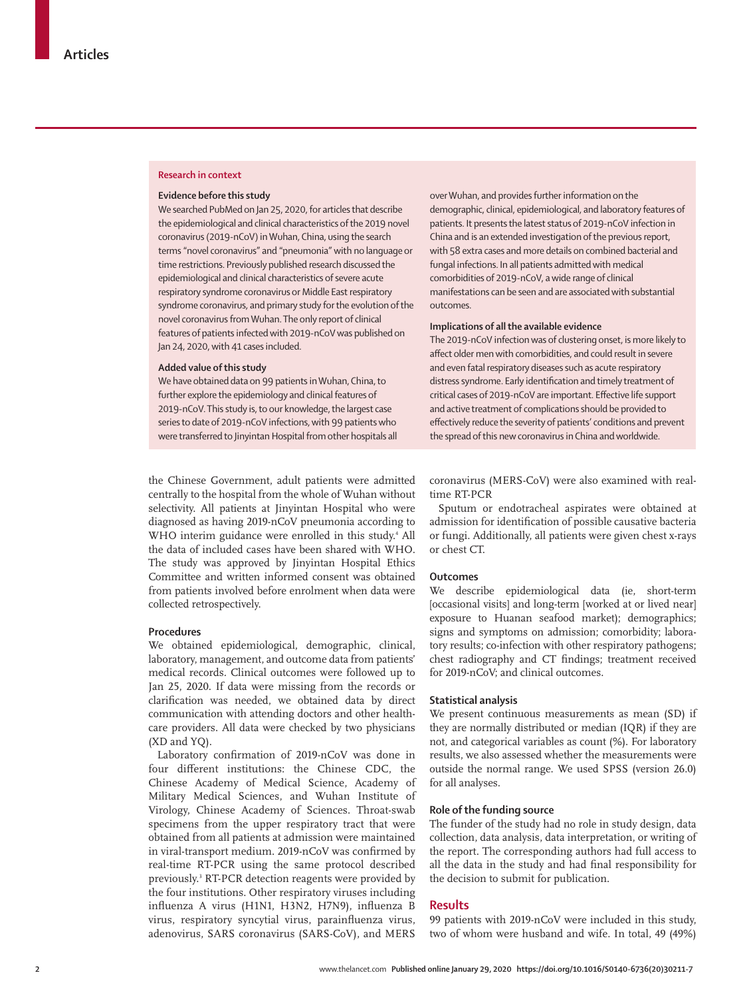#### **Research in context**

#### **Evidence before this study**

We searched PubMed on Jan 25, 2020, for articles that describe the epidemiological and clinical characteristics of the 2019 novel coronavirus (2019-nCoV) in Wuhan, China, using the search terms "novel coronavirus" and "pneumonia" with no language or time restrictions. Previously published research discussed the epidemiological and clinical characteristics of severe acute respiratory syndrome coronavirus or Middle East respiratory syndrome coronavirus, and primary study for the evolution of the novel coronavirus from Wuhan. The only report of clinical features of patients infected with 2019-nCoV was published on Jan 24, 2020, with 41 cases included.

#### **Added value of this study**

We have obtained data on 99 patients in Wuhan, China, to further explore the epidemiology and clinical features of 2019-nCoV. This study is, to our knowledge, the largest case series to date of 2019-nCoV infections, with 99 patients who were transferred to Jinyintan Hospital from other hospitals all

over Wuhan, and provides further information on the demographic, clinical, epidemiological, and laboratory features of patients. It presents the latest status of 2019-nCoV infection in China and is an extended investigation of the previous report, with 58 extra cases and more details on combined bacterial and fungal infections. In all patients admitted with medical comorbidities of 2019-nCoV, a wide range of clinical manifestations can be seen and are associated with substantial outcomes.

## **Implications of all the available evidence**

The 2019-nCoV infection was of clustering onset, is more likely to affect older men with comorbidities, and could result in severe and even fatal respiratory diseases such as acute respiratory distress syndrome. Early identification and timely treatment of critical cases of 2019-nCoV are important. Effective life support and active treatment of complications should be provided to effectively reduce the severity of patients' conditions and prevent the spread of this new coronavirus in China and worldwide.

the Chinese Government, adult patients were admitted centrally to the hospital from the whole of Wuhan without selectivity. All patients at Jinyintan Hospital who were diagnosed as having 2019-nCoV pneumonia according to WHO interim guidance were enrolled in this study.4 All the data of included cases have been shared with WHO. The study was approved by Jinyintan Hospital Ethics Committee and written informed consent was obtained from patients involved before enrolment when data were collected retrospectively.

## **Procedures**

We obtained epidemiological, demographic, clinical, laboratory, management, and outcome data from patients' medical records. Clinical outcomes were followed up to Jan 25, 2020. If data were missing from the records or clarification was needed, we obtained data by direct communication with attending doctors and other healthcare providers. All data were checked by two physicians (XD and YQ).

Laboratory confirmation of 2019-nCoV was done in four different institutions: the Chinese CDC, the Chinese Academy of Medical Science, Academy of Military Medical Sciences, and Wuhan Institute of Virology, Chinese Academy of Sciences. Throat-swab specimens from the upper respiratory tract that were obtained from all patients at admission were maintained in viral-transport medium. 2019-nCoV was confirmed by real-time RT-PCR using the same protocol described previously.3 RT-PCR detection reagents were provided by the four institutions. Other respiratory viruses including influenza A virus (H1N1, H3N2, H7N9), influenza B virus, respiratory syncytial virus, parainfluenza virus, adenovirus, SARS coronavirus (SARS-CoV), and MERS

coronavirus (MERS-CoV) were also examined with realtime RT-PCR

Sputum or endotracheal aspirates were obtained at admission for identification of possible causative bacteria or fungi. Additionally, all patients were given chest x-rays or chest CT.

## **Outcomes**

We describe epidemiological data (ie, short-term [occasional visits] and long-term [worked at or lived near] exposure to Huanan seafood market); demographics; signs and symptoms on admission; comorbidity; laboratory results; co-infection with other respiratory pathogens; chest radiography and CT findings; treatment received for 2019-nCoV; and clinical outcomes.

#### **Statistical analysis**

We present continuous measurements as mean (SD) if they are normally distributed or median (IQR) if they are not, and categorical variables as count (%). For laboratory results, we also assessed whether the measurements were outside the normal range. We used SPSS (version 26.0) for all analyses.

## **Role of the funding source**

The funder of the study had no role in study design, data collection, data analysis, data interpretation, or writing of the report. The corresponding authors had full access to all the data in the study and had final responsibility for the decision to submit for publication.

## **Results**

99 patients with 2019-nCoV were included in this study, two of whom were husband and wife. In total, 49 (49%)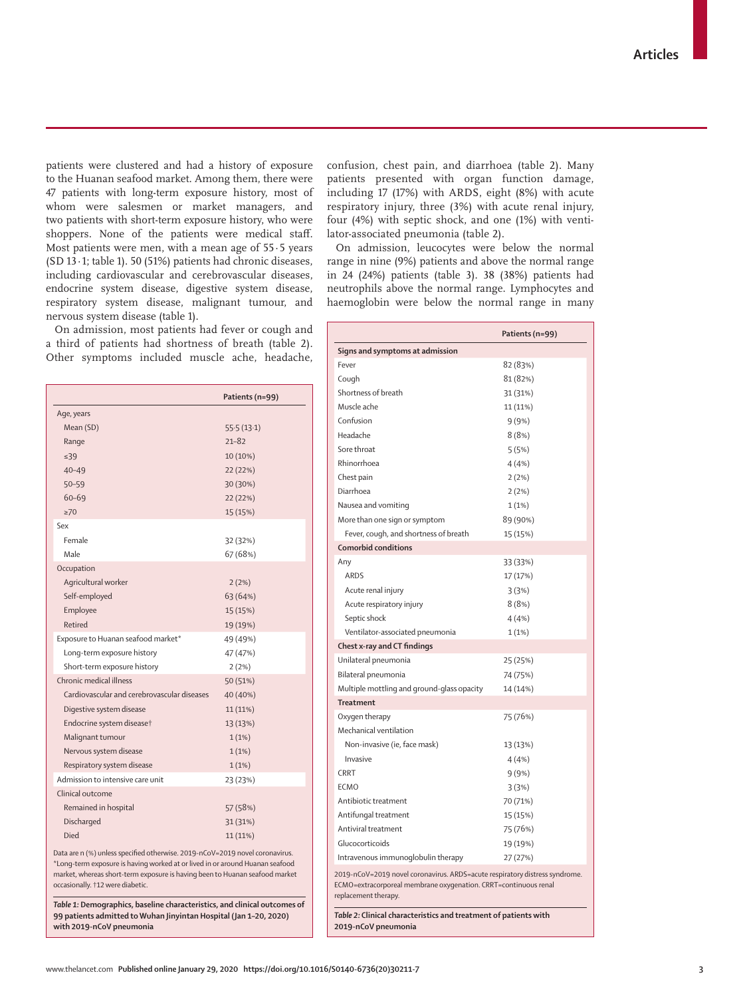patients were clustered and had a history of exposure to the Huanan seafood market. Among them, there were 47 patients with long-term exposure history, most of whom were salesmen or market managers, and two patients with short-term exposure history, who were shoppers. None of the patients were medical staff. Most patients were men, with a mean age of 55·5 years (SD 13·1; table 1). 50 (51%) patients had chronic diseases, including cardiovascular and cerebrovascular diseases, endocrine system disease, digestive system disease, respiratory system disease, malignant tumour, and nervous system disease (table 1).

On admission, most patients had fever or cough and a third of patients had shortness of breath (table 2). Other symptoms included muscle ache, headache,

|                                             | Patients (n=99) |
|---------------------------------------------|-----------------|
| Age, years                                  |                 |
| Mean (SD)                                   | 55.5(13.1)      |
| Range                                       | $21 - 82$       |
| $\leq 39$                                   | 10 (10%)        |
| $40 - 49$                                   | 22 (22%)        |
| $50 - 59$                                   | 30 (30%)        |
| $60 - 69$                                   | 22 (22%)        |
| $\geq 70$                                   | 15 (15%)        |
| Sex                                         |                 |
| Female                                      | 32 (32%)        |
| Male                                        | 67 (68%)        |
| Occupation                                  |                 |
| Agricultural worker                         | 2(2%)           |
| Self-employed                               | 63 (64%)        |
| Employee                                    | 15 (15%)        |
| Retired                                     | 19 (19%)        |
| Exposure to Huanan seafood market*          | 49 (49%)        |
| Long-term exposure history                  | 47 (47%)        |
| Short-term exposure history                 | 2(2%)           |
| Chronic medical illness                     | 50 (51%)        |
| Cardiovascular and cerebrovascular diseases | 40 (40%)        |
| Digestive system disease                    | $11(11\%)$      |
| Endocrine system disease†                   | 13 (13%)        |
| Malignant tumour                            | 1(1%)           |
| Nervous system disease                      | 1(1%)           |
| Respiratory system disease                  | 1(1%)           |
| Admission to intensive care unit            | 23 (23%)        |
| Clinical outcome                            |                 |
| Remained in hospital                        | 57 (58%)        |
| Discharged                                  | 31 (31%)        |
| Died                                        | 11 (11%)        |

Data are n (%) unless specified otherwise. 2019-nCoV=2019 novel coronavirus. \*Long-term exposure is having worked at or lived in or around Huanan seafood market, whereas short-term exposure is having been to Huanan seafood market occasionally. †12 were diabetic.

*Table 1:* **Demographics, baseline characteristics, and clinical outcomes of 99 patients admitted to Wuhan Jinyintan Hospital (Jan 1–20, 2020) with 2019-nCoV pneumonia**

confusion, chest pain, and diarrhoea (table 2). Many patients presented with organ function damage, including 17 (17%) with ARDS, eight (8%) with acute respiratory injury, three (3%) with acute renal injury, four (4%) with septic shock, and one (1%) with ventilator-associated pneumonia (table 2).

On admission, leucocytes were below the normal range in nine (9%) patients and above the normal range in 24 (24%) patients (table 3). 38 (38%) patients had neutrophils above the normal range. Lymphocytes and haemoglobin were below the normal range in many

|                                                                                                                                                                        | Patients (n=99) |  |
|------------------------------------------------------------------------------------------------------------------------------------------------------------------------|-----------------|--|
| Signs and symptoms at admission                                                                                                                                        |                 |  |
| Fever                                                                                                                                                                  | 82 (83%)        |  |
| Cough                                                                                                                                                                  | 81 (82%)        |  |
| Shortness of breath                                                                                                                                                    | 31 (31%)        |  |
| Muscle ache                                                                                                                                                            | 11 (11%)        |  |
| Confusion                                                                                                                                                              | 9(9%)           |  |
| Headache                                                                                                                                                               | 8(8%)           |  |
| Sore throat                                                                                                                                                            | 5(5%)           |  |
| Rhinorrhoea                                                                                                                                                            | 4 (4%)          |  |
| Chest pain                                                                                                                                                             | 2(2%)           |  |
| Diarrhoea                                                                                                                                                              | 2(2%)           |  |
| Nausea and vomiting                                                                                                                                                    | 1(1%)           |  |
| More than one sign or symptom                                                                                                                                          | 89 (90%)        |  |
| Fever, cough, and shortness of breath                                                                                                                                  | 15 (15%)        |  |
| <b>Comorbid conditions</b>                                                                                                                                             |                 |  |
| Any                                                                                                                                                                    | 33 (33%)        |  |
| ARDS                                                                                                                                                                   | 17 (17%)        |  |
| Acute renal injury                                                                                                                                                     | 3(3%)           |  |
| Acute respiratory injury                                                                                                                                               | 8(8%)           |  |
| Septic shock                                                                                                                                                           | 4 (4%)          |  |
| Ventilator-associated pneumonia                                                                                                                                        | 1(1%)           |  |
| Chest x-ray and CT findings                                                                                                                                            |                 |  |
| Unilateral pneumonia                                                                                                                                                   | 25 (25%)        |  |
| Bilateral pneumonia                                                                                                                                                    | 74 (75%)        |  |
| Multiple mottling and ground-glass opacity                                                                                                                             | 14 (14%)        |  |
| <b>Treatment</b>                                                                                                                                                       |                 |  |
| Oxygen therapy                                                                                                                                                         | 75 (76%)        |  |
| Mechanical ventilation                                                                                                                                                 |                 |  |
| Non-invasive (ie, face mask)                                                                                                                                           | 13 (13%)        |  |
| Invasive                                                                                                                                                               | 4(4% )          |  |
| <b>CRRT</b>                                                                                                                                                            | 9(9%)           |  |
| <b>ECMO</b>                                                                                                                                                            | 3(3%)           |  |
| Antibiotic treatment                                                                                                                                                   | 70 (71%)        |  |
| Antifungal treatment                                                                                                                                                   | 15 (15%)        |  |
| Antiviral treatment                                                                                                                                                    | 75 (76%)        |  |
| Glucocorticoids                                                                                                                                                        | 19 (19%)        |  |
| Intravenous immunoglobulin therapy                                                                                                                                     | 27 (27%)        |  |
| 2019-nCoV=2019 novel coronavirus. ARDS=acute respiratory distress syndrome.<br>ECMO=extracorporeal membrane oxygenation. CRRT=continuous renal<br>replacement therapy. |                 |  |
| Table 2: Clinical characteristics and treatment of patients with<br>2019-nCoV pneumonia                                                                                |                 |  |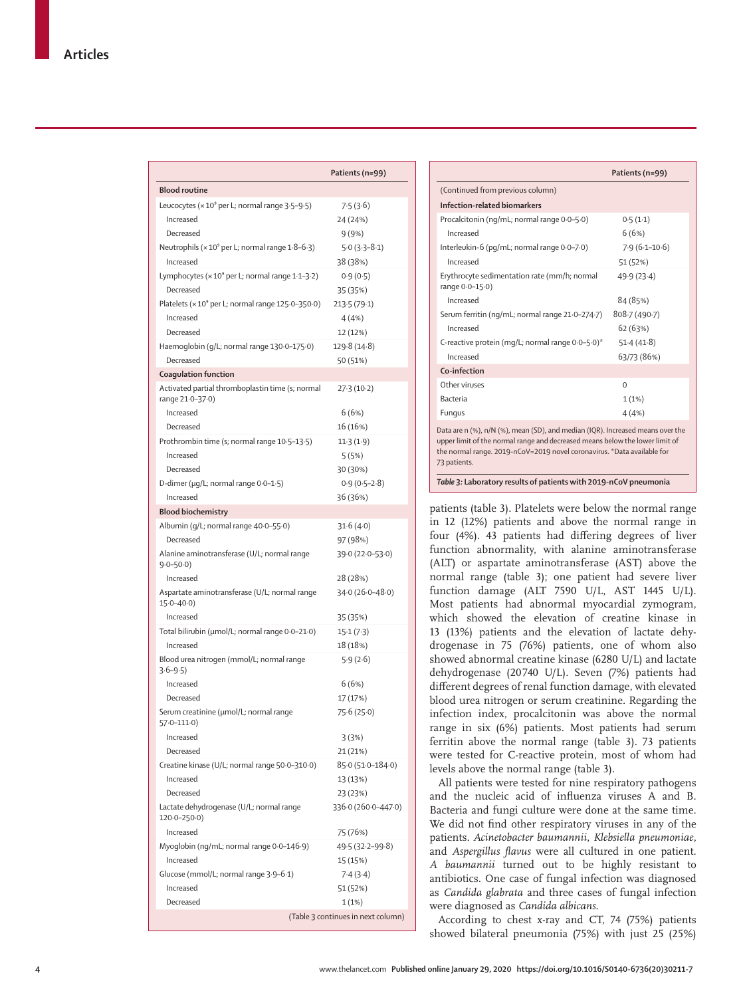|                                                                     | Patients (n=99)                    |
|---------------------------------------------------------------------|------------------------------------|
| <b>Blood routine</b>                                                |                                    |
| Leucocytes (× 10 <sup>9</sup> per L; normal range 3.5-9.5)          | 7.5(3.6)                           |
| Increased                                                           | 24 (24%)                           |
| Decreased                                                           | 9(9%)                              |
| Neutrophils ( $\times$ 10 <sup>9</sup> per L; normal range 1.8–6.3) | $5.0(3.3-8.1)$                     |
| Increased                                                           | 38 (38%)                           |
| Lymphocytes (× 10° per L; normal range 1·1–3·2)                     | 0.9(0.5)                           |
| Decreased                                                           | 35 (35%)                           |
| Platelets (× 10 <sup>9</sup> per L; normal range 125·0-350·0)       | 213.5(79.1)                        |
| Increased                                                           | 4 (4%)                             |
| Decreased                                                           | 12 (12%)                           |
| Haemoglobin (g/L; normal range 130-0-175-0)                         | 129.8 (14.8)                       |
| Decreased                                                           | 50 (51%)                           |
| Coagulation function                                                |                                    |
| Activated partial thromboplastin time (s; normal                    | 27.3(10.2)                         |
| range 21.0-37.0)                                                    |                                    |
| Increased                                                           | 6(6%)                              |
| Decreased                                                           | 16 (16%)                           |
| Prothrombin time (s; normal range 10.5-13.5)                        | 11.3(1.9)                          |
| Increased                                                           | 5 (5%)                             |
| Decreased                                                           | 30 (30%)                           |
| D-dimer (µg/L; normal range 0.0-1.5)                                | $0.9(0.5-2.8)$                     |
| Increased                                                           | 36 (36%)                           |
| <b>Blood biochemistry</b>                                           |                                    |
| Albumin (g/L; normal range 40.0-55.0)                               | 31.6(4.0)                          |
| Decreased                                                           | 97 (98%)                           |
| Alanine aminotransferase (U/L; normal range<br>$9.0 - 50.0$         | 39.0 (22.0-53.0)                   |
| Increased                                                           | 28 (28%)                           |
| Aspartate aminotransferase (U/L; normal range<br>$15.0 - 40.0$      | $34.0(26.0 - 48.0)$                |
| Increased                                                           | 35 (35%)                           |
| Total bilirubin (µmol/L; normal range 0.0–21.0)                     | 15.1(7.3)                          |
| Increased                                                           | 18 (18%)                           |
| Blood urea nitrogen (mmol/L; normal range<br>$3.6 - 9.5$            | 5.9(2.6)                           |
| Increased                                                           | 6 (6%)                             |
| Decreased                                                           | 17 (17%)                           |
| Serum creatinine (µmol/L; normal range<br>57·0–111·0)               | 75.6 (25.0)                        |
| Increased                                                           | 3(3%)                              |
| Decreased                                                           | 21 (21%)                           |
| Creatine kinase (U/L; normal range 50-0-310-0)                      | 85.0 (51.0-184.0)                  |
| Increased                                                           | 13 (13%)                           |
| Decreased                                                           | 23 (23%)                           |
| Lactate dehydrogenase (U/L; normal range<br>$120.0 - 250.0$         | 336.0 (260.0-447.0)                |
| Increased                                                           | 75 (76%)                           |
| Myoglobin (ng/mL; normal range 0-0-146-9)                           | 49.5 (32.2–99.8)                   |
| Increased                                                           | 15 (15%)                           |
| Glucose (mmol/L; normal range 3.9-6.1)                              | 7.4(3.4)                           |
| Increased                                                           | 51 (52%)                           |
| Decreased                                                           | 1 (1%)                             |
|                                                                     | (Table 3 continues in next column) |

|                                                                                                                                                                                                                                                           | Patients (n=99)   |  |
|-----------------------------------------------------------------------------------------------------------------------------------------------------------------------------------------------------------------------------------------------------------|-------------------|--|
| (Continued from previous column)                                                                                                                                                                                                                          |                   |  |
| Infection-related biomarkers                                                                                                                                                                                                                              |                   |  |
| Procalcitonin (ng/mL; normal range 0.0-5.0)                                                                                                                                                                                                               | 0.5(1.1)          |  |
| Increased                                                                                                                                                                                                                                                 | 6(6%)             |  |
| Interleukin-6 (pq/mL; normal range 0.0-7.0)                                                                                                                                                                                                               | $7.9(6.1 - 10.6)$ |  |
| Increased                                                                                                                                                                                                                                                 | 51 (52%)          |  |
| Erythrocyte sedimentation rate (mm/h; normal<br>range $0.0-15.0$ )                                                                                                                                                                                        | 49.9(23.4)        |  |
| Increased                                                                                                                                                                                                                                                 | 84 (85%)          |  |
| Serum ferritin (ng/mL; normal range 21.0-274.7)                                                                                                                                                                                                           | 808.7 (490.7)     |  |
| Increased                                                                                                                                                                                                                                                 | 62(63%)           |  |
| C-reactive protein (mq/L; normal range 0.0-5.0)*                                                                                                                                                                                                          | 51.4(41.8)        |  |
| Increased                                                                                                                                                                                                                                                 | 63/73 (86%)       |  |
| Co-infection                                                                                                                                                                                                                                              |                   |  |
| Other viruses                                                                                                                                                                                                                                             | $\Omega$          |  |
| <b>Bacteria</b>                                                                                                                                                                                                                                           | 1(1%)             |  |
| Fungus                                                                                                                                                                                                                                                    | 4(4%              |  |
| Data are n (%), n/N (%), mean (SD), and median (IQR). Increased means over the<br>upper limit of the normal range and decreased means below the lower limit of<br>the normal range. 2019-nCoV=2019 novel coronavirus. *Data available for<br>73 patients. |                   |  |

*Table 3:* **Laboratory results of patients with 2019-nCoV pneumonia**

patients (table 3). Platelets were below the normal range in 12 (12%) patients and above the normal range in four (4%). 43 patients had differing degrees of liver function abnormality, with alanine aminotransferase (ALT) or aspartate aminotransferase (AST) above the normal range (table 3); one patient had severe liver function damage (ALT 7590 U/L, AST 1445 U/L). Most patients had abnormal myocardial zymogram, which showed the elevation of creatine kinase in 13 (13%) patients and the elevation of lactate dehydrogenase in 75 (76%) patients, one of whom also showed abnormal creatine kinase (6280 U/L) and lactate dehydrogenase (20740 U/L). Seven (7%) patients had different degrees of renal function damage, with elevated blood urea nitrogen or serum creatinine. Regarding the infection index, procalcitonin was above the normal range in six (6%) patients. Most patients had serum ferritin above the normal range (table 3). 73 patients were tested for C-reactive protein, most of whom had levels above the normal range (table 3).

All patients were tested for nine respiratory pathogens and the nucleic acid of influenza viruses A and B. Bacteria and fungi culture were done at the same time. We did not find other respiratory viruses in any of the patients. *Acinetobacter baumannii*, *Klebsiella pneumoniae,* and *Aspergillus flavus* were all cultured in one patient. *A baumannii* turned out to be highly resistant to antibiotics. One case of fungal infection was diagnosed as *Candida glabrata* and three cases of fungal infection were diagnosed as *Candida albicans*.

According to chest x-ray and CT, 74 (75%) patients showed bilateral pneumonia (75%) with just 25 (25%)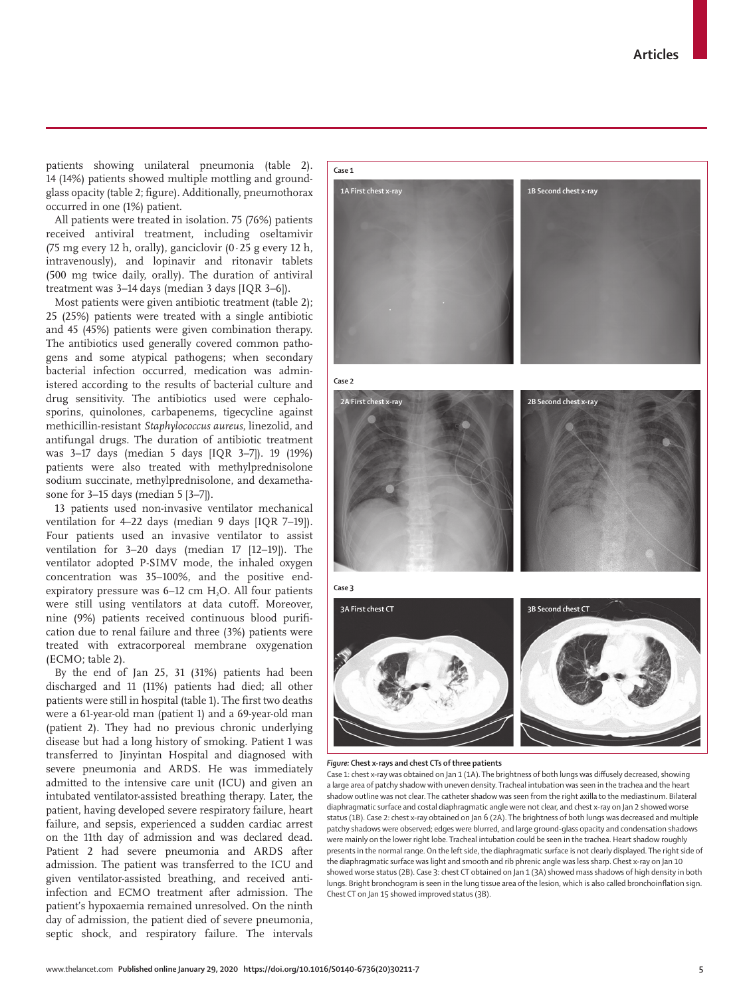

patients showing unilateral pneumonia (table 2). 14 (14%) patients showed multiple mottling and groundglass opacity (table 2; figure). Additionally, pneumothorax occurred in one (1%) patient.

All patients were treated in isolation. 75 (76%) patients received antiviral treatment, including oseltamivir (75 mg every 12 h, orally), ganciclovir  $(0.25$  g every 12 h, intravenously), and lopinavir and ritonavir tablets (500 mg twice daily, orally). The duration of antiviral treatment was 3–14 days (median 3 days [IQR 3–6]).

Most patients were given antibiotic treatment (table 2); 25 (25%) patients were treated with a single antibiotic and 45 (45%) patients were given combination therapy. The antibiotics used generally covered common pathogens and some atypical pathogens; when secondary bacterial infection occurred, medication was administered according to the results of bacterial culture and drug sensitivity. The antibiotics used were cephalosporins, quinolones, carbapenems, tigecycline against methicillin-resistant *Staphylococcus aureus*, linezolid, and antifungal drugs. The duration of antibiotic treatment was 3–17 days (median 5 days [IQR 3–7]). 19 (19%) patients were also treated with methylprednisolone sodium succinate, methylprednisolone, and dexamethasone for 3–15 days (median 5 [3–7]).

13 patients used non-invasive ventilator mechanical ventilation for 4–22 days (median 9 days [IQR 7–19]). Four patients used an invasive ventilator to assist ventilation for 3–20 days (median 17 [12–19]). The ventilator adopted P-SIMV mode, the inhaled oxygen concentration was 35–100%, and the positive endexpiratory pressure was  $6-12$  cm  $H<sub>2</sub>O$ . All four patients were still using ventilators at data cutoff. Moreover, nine (9%) patients received continuous blood purification due to renal failure and three (3%) patients were treated with extracorporeal membrane oxygenation (ECMO; table 2).

By the end of Jan 25, 31 (31%) patients had been discharged and 11 (11%) patients had died; all other patients were still in hospital (table 1). The first two deaths were a 61-year-old man (patient 1) and a 69-year-old man (patient 2). They had no previous chronic underlying disease but had a long history of smoking. Patient 1 was transferred to Jinyintan Hospital and diagnosed with severe pneumonia and ARDS. He was immediately admitted to the intensive care unit (ICU) and given an intubated ventilator-assisted breathing therapy. Later, the patient, having developed severe respiratory failure, heart failure, and sepsis, experienced a sudden cardiac arrest on the 11th day of admission and was declared dead. Patient 2 had severe pneumonia and ARDS after admission. The patient was transferred to the ICU and given ventilator-assisted breathing, and received antiinfection and ECMO treatment after admission. The patient's hypoxaemia remained unresolved. On the ninth day of admission, the patient died of severe pneumonia, septic shock, and respiratory failure. The intervals

#### *Figure:* **Chest x-rays and chest CTs of three patients**

Case 1: chest x-ray was obtained on Jan 1 (1A). The brightness of both lungs was diffusely decreased, showing a large area of patchy shadow with uneven density. Tracheal intubation was seen in the trachea and the heart shadow outline was not clear. The catheter shadow was seen from the right axilla to the mediastinum. Bilateral diaphragmatic surface and costal diaphragmatic angle were not clear, and chest x-ray on Jan 2 showed worse status (1B). Case 2: chest x-ray obtained on Jan 6 (2A). The brightness of both lungs was decreased and multiple patchy shadows were observed; edges were blurred, and large ground-glass opacity and condensation shadows were mainly on the lower right lobe. Tracheal intubation could be seen in the trachea. Heart shadow roughly presents in the normal range. On the left side, the diaphragmatic surface is not clearly displayed. The right side of the diaphragmatic surface was light and smooth and rib phrenic angle was less sharp. Chest x-ray on Jan 10 showed worse status (2B). Case 3: chest CT obtained on Jan 1 (3A) showed mass shadows of high density in both lungs. Bright bronchogram is seen in the lung tissue area of the lesion, which is also called bronchoinflation sign. Chest CT on Jan 15 showed improved status (3B).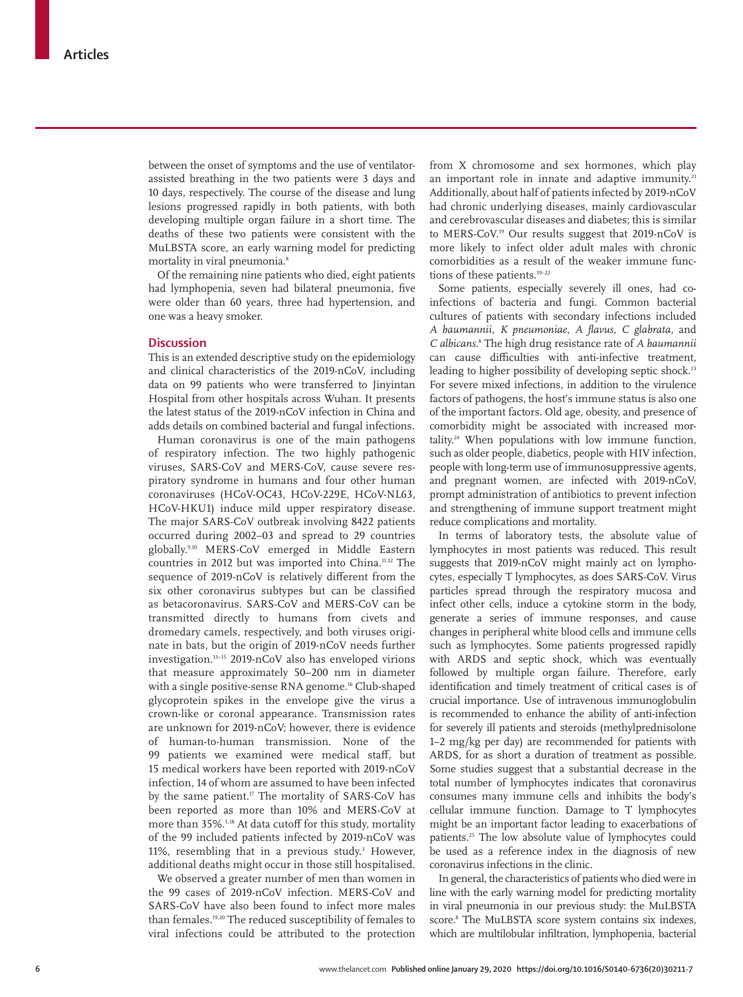between the onset of symptoms and the use of ventilatorassisted breathing in the two patients were 3 days and 10 days, respectively. The course of the disease and lung lesions progressed rapidly in both patients, with both developing multiple organ failure in a short time. The deaths of these two patients were consistent with the MuLBSTA score, an early warning model for predicting mortality in viral pneumonia.<sup>8</sup>

Of the remaining nine patients who died, eight patients had lymphopenia, seven had bilateral pneumonia, five were older than 60 years, three had hypertension, and one was a heavy smoker.

## **Discussion**

This is an extended descriptive study on the epidemiology and clinical characteristics of the 2019-nCoV, including data on 99 patients who were transferred to Jinyintan Hospital from other hospitals across Wuhan. It presents the latest status of the 2019-nCoV infection in China and adds details on combined bacterial and fungal infections.

Human coronavirus is one of the main pathogens of respiratory infection. The two highly pathogenic viruses, SARS-CoV and MERS-CoV, cause severe respiratory syndrome in humans and four other human coronaviruses (HCoV-OC43, HCoV-229E, HCoV-NL63, HCoV-HKU1) induce mild upper respiratory disease. The major SARS-CoV outbreak involving 8422 patients occurred during 2002–03 and spread to 29 countries globally.9,10 MERS-CoV emerged in Middle Eastern countries in 2012 but was imported into China.11,12 The sequence of 2019-nCoV is relatively different from the six other coronavirus subtypes but can be classified as betacoronavirus. SARS-CoV and MERS-CoV can be transmitted directly to humans from civets and dromedary camels, respectively, and both viruses originate in bats, but the origin of 2019-nCoV needs further investigation.13–15 2019-nCoV also has enveloped virions that measure approximately 50–200 nm in diameter with a single positive-sense RNA genome.<sup>16</sup> Club-shaped glycoprotein spikes in the envelope give the virus a crown-like or coronal appearance. Transmission rates are unknown for 2019-nCoV; however, there is evidence of human-to-human transmission. None of the 99 patients we examined were medical staff, but 15 medical workers have been reported with 2019-nCoV infection, 14 of whom are assumed to have been infected by the same patient.<sup>17</sup> The mortality of SARS-CoV has been reported as more than 10% and MERS-CoV at more than 35%.<sup>5,18</sup> At data cutoff for this study, mortality of the 99 included patients infected by 2019-nCoV was 11%, resembling that in a previous study.<sup>3</sup> However, additional deaths might occur in those still hospitalised.

We observed a greater number of men than women in the 99 cases of 2019-nCoV infection. MERS-CoV and SARS-CoV have also been found to infect more males than females.19,20 The reduced susceptibility of females to viral infections could be attributed to the protection from X chromosome and sex hormones, which play an important role in innate and adaptive immunity.<sup>21</sup> Additionally, about half of patients infected by 2019-nCoV had chronic underlying diseases, mainly cardiovascular and cerebrovascular diseases and diabetes; this is similar to MERS-CoV.19 Our results suggest that 2019-nCoV is more likely to infect older adult males with chronic comorbidities as a result of the weaker immune functions of these patients.<sup>19-22</sup>

Some patients, especially severely ill ones, had coinfections of bacteria and fungi. Common bacterial cultures of patients with secondary infections included *A baumannii*, *K pneumoniae*, *A flavus*, *C glabrata*, and *C albicans*. 8 The high drug resistance rate of *A baumannii* can cause difficulties with anti-infective treatment, leading to higher possibility of developing septic shock.<sup>23</sup> For severe mixed infections, in addition to the virulence factors of pathogens, the host's immune status is also one of the important factors. Old age, obesity, and presence of comorbidity might be associated with increased mortality.24 When populations with low immune function, such as older people, diabetics, people with HIV infection, people with long-term use of immunosuppressive agents, and pregnant women, are infected with 2019-nCoV, prompt administration of antibiotics to prevent infection and strengthening of immune support treatment might reduce complications and mortality.

In terms of laboratory tests, the absolute value of lymphocytes in most patients was reduced. This result suggests that 2019-nCoV might mainly act on lymphocytes, especially T lymphocytes, as does SARS-CoV. Virus particles spread through the respiratory mucosa and infect other cells, induce a cytokine storm in the body, generate a series of immune responses, and cause changes in peripheral white blood cells and immune cells such as lymphocytes. Some patients progressed rapidly with ARDS and septic shock, which was eventually followed by multiple organ failure. Therefore, early identification and timely treatment of critical cases is of crucial importance. Use of intravenous immunoglobulin is recommended to enhance the ability of anti-infection for severely ill patients and steroids (methylprednisolone 1–2 mg/kg per day) are recommended for patients with ARDS, for as short a duration of treatment as possible. Some studies suggest that a substantial decrease in the total number of lymphocytes indicates that coronavirus consumes many immune cells and inhibits the body's cellular immune function. Damage to T lymphocytes might be an important factor leading to exacerbations of patients.25 The low absolute value of lymphocytes could be used as a reference index in the diagnosis of new coronavirus infections in the clinic.

In general, the characteristics of patients who died were in line with the early warning model for predicting mortality in viral pneumonia in our previous study: the MuLBSTA score.8 The MuLBSTA score system contains six indexes, which are multilobular infiltration, lymphopenia, bacterial